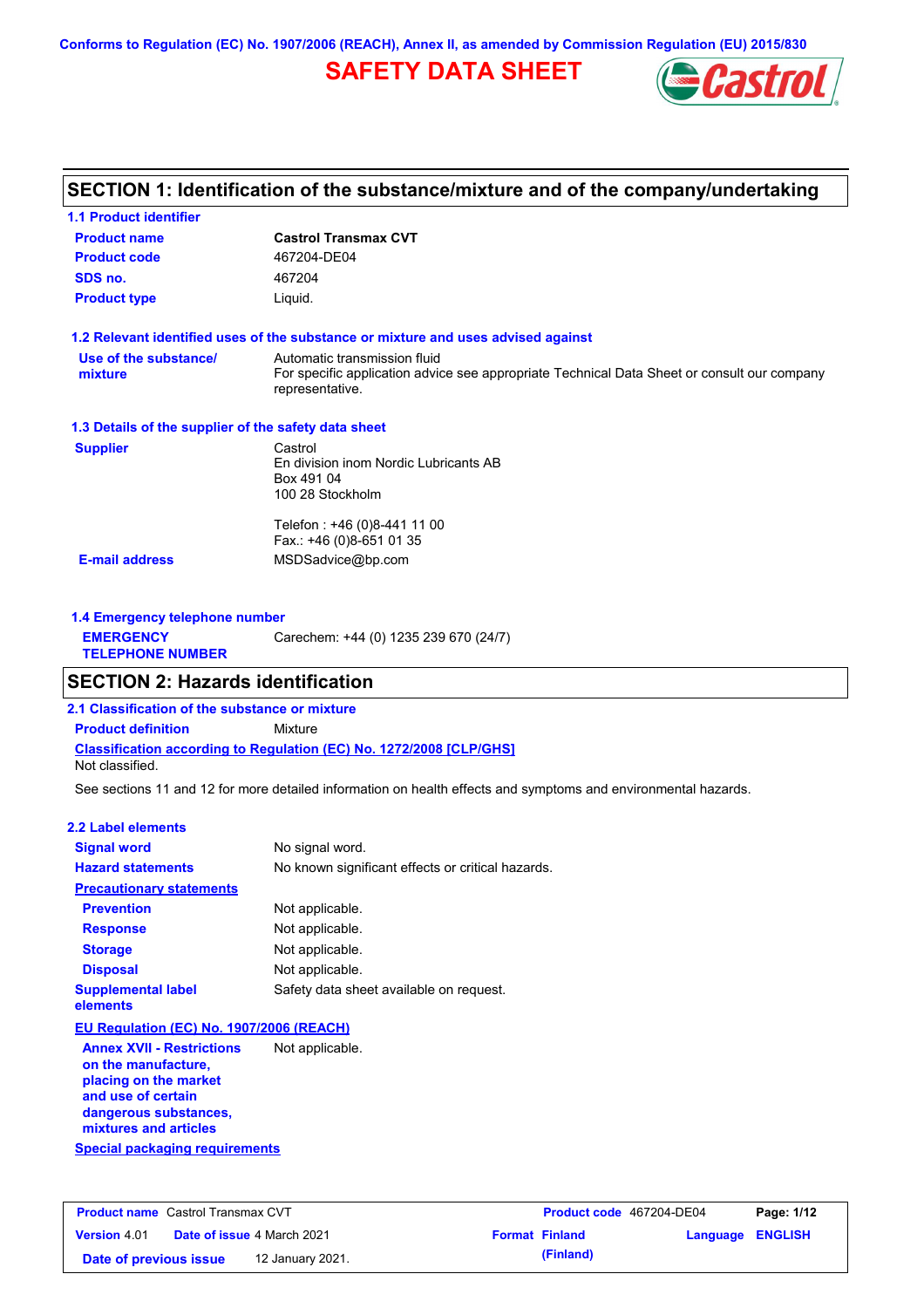**Conforms to Regulation (EC) No. 1907/2006 (REACH), Annex II, as amended by Commission Regulation (EU) 2015/830**

# **SAFETY DATA SHEET**



# **SECTION 1: Identification of the substance/mixture and of the company/undertaking**

| <b>1.1 Product identifier</b>                        |                                                                                                                |
|------------------------------------------------------|----------------------------------------------------------------------------------------------------------------|
| <b>Product name</b>                                  | <b>Castrol Transmax CVT</b>                                                                                    |
| <b>Product code</b>                                  | 467204-DE04                                                                                                    |
| SDS no.                                              | 467204                                                                                                         |
| <b>Product type</b>                                  | Liquid.                                                                                                        |
|                                                      | 1.2 Relevant identified uses of the substance or mixture and uses advised against                              |
| Use of the substance/                                | Automatic transmission fluid                                                                                   |
| mixture                                              | For specific application advice see appropriate Technical Data Sheet or consult our company<br>representative. |
| 1.3 Details of the supplier of the safety data sheet |                                                                                                                |
| <b>Supplier</b>                                      | Castrol                                                                                                        |
|                                                      | En division inom Nordic Lubricants AB                                                                          |
|                                                      | Box 491 04<br>100 28 Stockholm                                                                                 |
|                                                      | Telefon: +46 (0)8-441 11 00                                                                                    |
|                                                      | Fax.: +46 (0)8-651 01 35                                                                                       |
| <b>E-mail address</b>                                | MSDSadvice@bp.com                                                                                              |
| 1.4 Emergency telephone number                       |                                                                                                                |
| <b>EMERGENCY</b>                                     | Carechem: +44 (0) 1235 239 670 (24/7)                                                                          |

| <b>TELEPHONE NUMBER</b> |  |  |  |  |
|-------------------------|--|--|--|--|
|                         |  |  |  |  |

# **SECTION 2: Hazards identification**

**2.1 Classification of the substance or mixture**

**Classification according to Regulation (EC) No. 1272/2008 [CLP/GHS] Product definition** Mixture

Not classified.

See sections 11 and 12 for more detailed information on health effects and symptoms and environmental hazards.

### **2.2 Label elements**

| <b>Signal word</b>                                      | No signal word.                                   |
|---------------------------------------------------------|---------------------------------------------------|
| <b>Hazard statements</b>                                | No known significant effects or critical hazards. |
| <b>Precautionary statements</b>                         |                                                   |
| <b>Prevention</b>                                       | Not applicable.                                   |
| <b>Response</b>                                         | Not applicable.                                   |
| <b>Storage</b>                                          | Not applicable.                                   |
| <b>Disposal</b>                                         | Not applicable.                                   |
| <b>Supplemental label</b><br>elements                   | Safety data sheet available on request.           |
| EU Regulation (EC) No. 1907/2006 (REACH)                |                                                   |
| <b>Annex XVII - Restrictions</b><br>on the manufacture, | Not applicable.                                   |

**Special packaging requirements placing on the market and use of certain dangerous substances, mixtures and articles**

| <b>Product name</b> Castrol Transmax CVT |  |                                   | <b>Product code</b> 467204-DE04 |                       | Page: 1/12              |  |
|------------------------------------------|--|-----------------------------------|---------------------------------|-----------------------|-------------------------|--|
| <b>Version</b> 4.01                      |  | <b>Date of issue 4 March 2021</b> |                                 | <b>Format Finland</b> | <b>Language ENGLISH</b> |  |
| Date of previous issue                   |  | 12 January 2021.                  |                                 | (Finland)             |                         |  |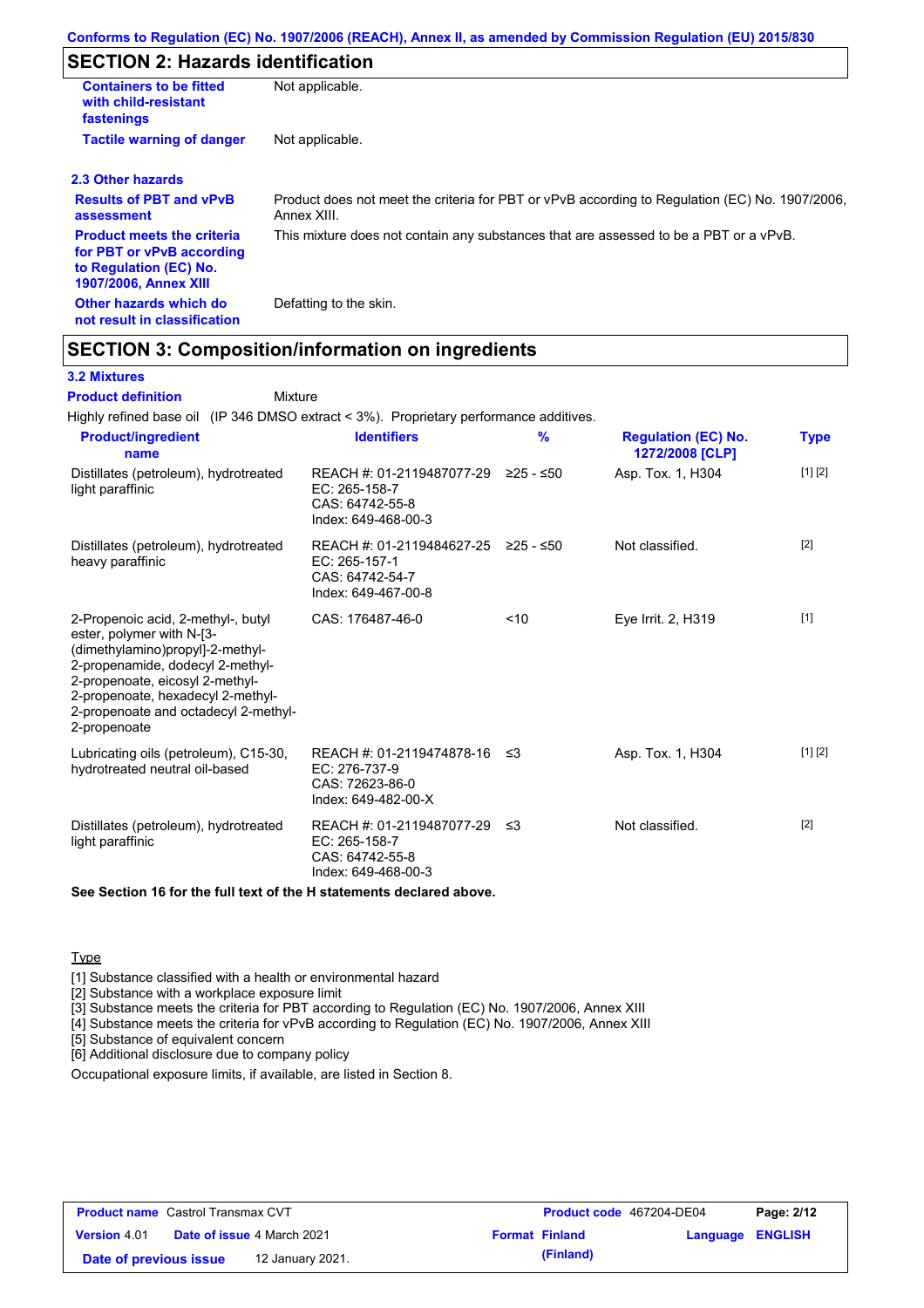# **SECTION 2: Hazards identification**

| <b>Containers to be fitted</b><br>with child-resistant<br>fastenings                                                     | Not applicable.                                                                                               |
|--------------------------------------------------------------------------------------------------------------------------|---------------------------------------------------------------------------------------------------------------|
| <b>Tactile warning of danger</b>                                                                                         | Not applicable.                                                                                               |
| 2.3 Other hazards                                                                                                        |                                                                                                               |
| <b>Results of PBT and vPvB</b><br>assessment                                                                             | Product does not meet the criteria for PBT or vPvB according to Regulation (EC) No. 1907/2006,<br>Annex XIII. |
| <b>Product meets the criteria</b><br>for PBT or vPvB according<br>to Regulation (EC) No.<br><b>1907/2006, Annex XIII</b> | This mixture does not contain any substances that are assessed to be a PBT or a vPvB.                         |
| Other hazards which do<br>not result in classification                                                                   | Defatting to the skin.                                                                                        |

# **SECTION 3: Composition/information on ingredients**

Mixture

### **3.2 Mixtures**

**Product definition**

Highly refined base oil (IP 346 DMSO extract < 3%). Proprietary performance additives.

| <b>Product/ingredient</b><br>name                                                                                                                                                                                                                                       | <b>Identifiers</b>                                                                               | $\frac{9}{6}$ | <b>Regulation (EC) No.</b><br>1272/2008 [CLP] | Type              |
|-------------------------------------------------------------------------------------------------------------------------------------------------------------------------------------------------------------------------------------------------------------------------|--------------------------------------------------------------------------------------------------|---------------|-----------------------------------------------|-------------------|
| Distillates (petroleum), hydrotreated<br>light paraffinic                                                                                                                                                                                                               | REACH #: 01-2119487077-29<br>$EC: 265-158-7$<br>CAS: 64742-55-8<br>Index: 649-468-00-3           | ≥25 - ≤50     | Asp. Tox. 1, H304                             | [1] [2]           |
| Distillates (petroleum), hydrotreated<br>heavy paraffinic                                                                                                                                                                                                               | REACH #: 01-2119484627-25 ≥25 - ≤50<br>$EC: 265-157-1$<br>CAS: 64742-54-7<br>Index: 649-467-00-8 |               | Not classified.                               | $\lceil 2 \rceil$ |
| 2-Propenoic acid, 2-methyl-, butyl<br>ester, polymer with N-[3-<br>(dimethylamino)propyl]-2-methyl-<br>2-propenamide, dodecyl 2-methyl-<br>2-propenoate, eicosyl 2-methyl-<br>2-propenoate, hexadecyl 2-methyl-<br>2-propenoate and octadecyl 2-methyl-<br>2-propenoate | CAS: 176487-46-0                                                                                 | < 10          | Eye Irrit. 2, H319                            | $[1]$             |
| Lubricating oils (petroleum), C15-30,<br>hydrotreated neutral oil-based                                                                                                                                                                                                 | REACH #: 01-2119474878-16<br>EC: 276-737-9<br>CAS: 72623-86-0<br>Index: 649-482-00-X             | ב≥            | Asp. Tox. 1, H304                             | [1] [2]           |
| Distillates (petroleum), hydrotreated<br>light paraffinic                                                                                                                                                                                                               | REACH #: 01-2119487077-29 ≤3<br>EC: 265-158-7<br>CAS: 64742-55-8<br>Index: 649-468-00-3          |               | Not classified.                               | [2]               |

**See Section 16 for the full text of the H statements declared above.**

### **Type**

[1] Substance classified with a health or environmental hazard

[2] Substance with a workplace exposure limit

[3] Substance meets the criteria for PBT according to Regulation (EC) No. 1907/2006, Annex XIII

[4] Substance meets the criteria for vPvB according to Regulation (EC) No. 1907/2006, Annex XIII

[5] Substance of equivalent concern

[6] Additional disclosure due to company policy

Occupational exposure limits, if available, are listed in Section 8.

| <b>Product name</b> Castrol Transmax CVT |  |                                   |  | <b>Product code</b> 467204-DE04 | Page: 2/12              |  |
|------------------------------------------|--|-----------------------------------|--|---------------------------------|-------------------------|--|
| <b>Version 4.01</b>                      |  | <b>Date of issue 4 March 2021</b> |  | <b>Format Finland</b>           | <b>Language ENGLISH</b> |  |
| Date of previous issue                   |  | 12 January 2021.                  |  | (Finland)                       |                         |  |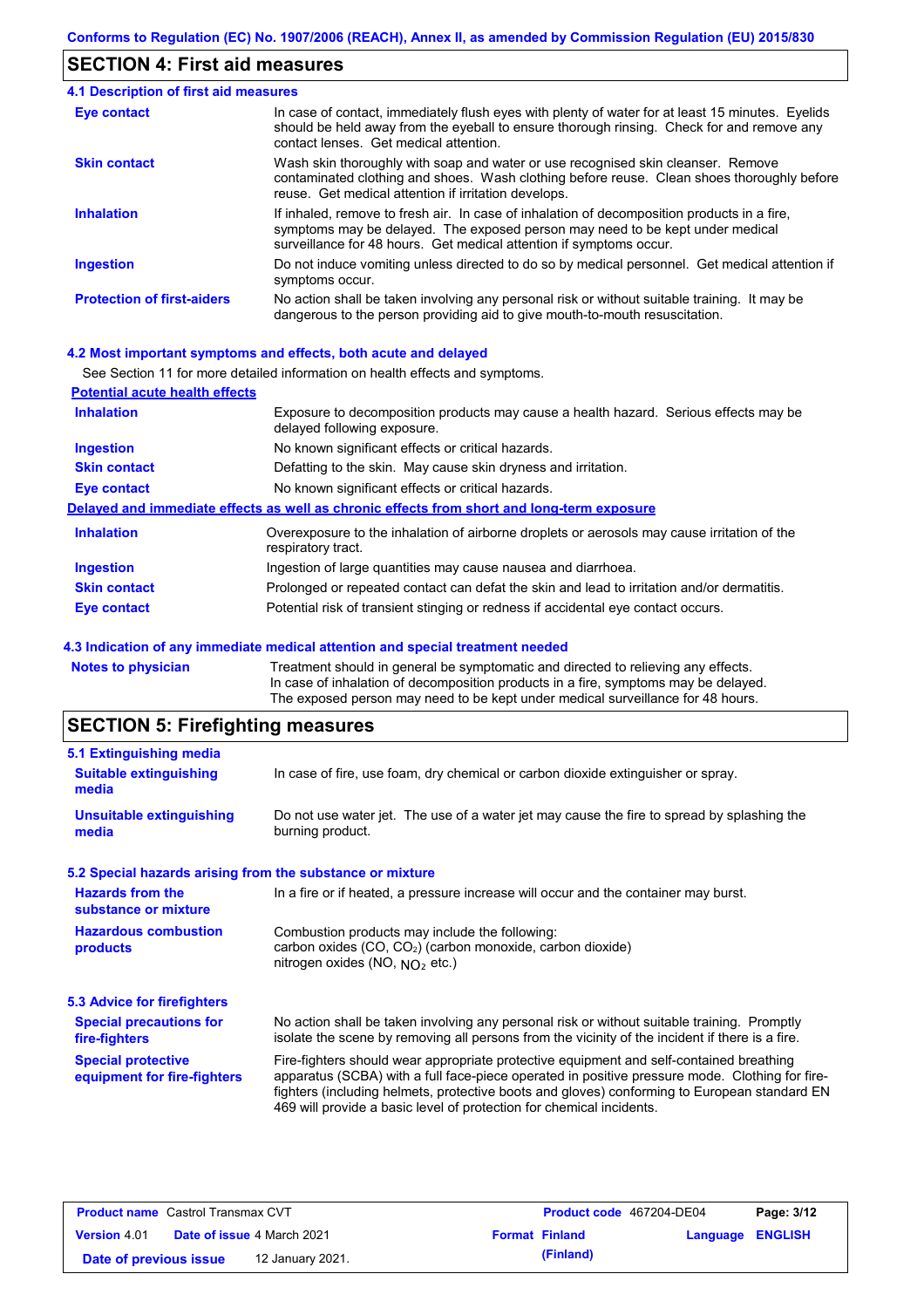### **SECTION 4: First aid measures**

#### Do not induce vomiting unless directed to do so by medical personnel. Get medical attention if symptoms occur. In case of contact, immediately flush eyes with plenty of water for at least 15 minutes. Eyelids should be held away from the eyeball to ensure thorough rinsing. Check for and remove any contact lenses. Get medical attention. **4.1 Description of first aid measures** If inhaled, remove to fresh air. In case of inhalation of decomposition products in a fire, symptoms may be delayed. The exposed person may need to be kept under medical surveillance for 48 hours. Get medical attention if symptoms occur. **Ingestion Inhalation Eye contact Protection of first-aiders** No action shall be taken involving any personal risk or without suitable training. It may be dangerous to the person providing aid to give mouth-to-mouth resuscitation. **Skin contact** Wash skin thoroughly with soap and water or use recognised skin cleanser. Remove contaminated clothing and shoes. Wash clothing before reuse. Clean shoes thoroughly before reuse. Get medical attention if irritation develops.

### **4.2 Most important symptoms and effects, both acute and delayed**

|                                       | See Section 11 for more detailed information on health effects and symptoms.                                        |
|---------------------------------------|---------------------------------------------------------------------------------------------------------------------|
| <b>Potential acute health effects</b> |                                                                                                                     |
| <b>Inhalation</b>                     | Exposure to decomposition products may cause a health hazard. Serious effects may be<br>delayed following exposure. |
| <b>Ingestion</b>                      | No known significant effects or critical hazards.                                                                   |
| <b>Skin contact</b>                   | Defatting to the skin. May cause skin dryness and irritation.                                                       |
| Eye contact                           | No known significant effects or critical hazards.                                                                   |
|                                       | Delayed and immediate effects as well as chronic effects from short and long-term exposure                          |
| <b>Inhalation</b>                     | Overexposure to the inhalation of airborne droplets or aerosols may cause irritation of the<br>respiratory tract.   |
| <b>Ingestion</b>                      | Ingestion of large quantities may cause nausea and diarrhoea.                                                       |
| <b>Skin contact</b>                   | Prolonged or repeated contact can defat the skin and lead to irritation and/or dermatitis.                          |
| <b>Eye contact</b>                    | Potential risk of transient stinging or redness if accidental eye contact occurs.                                   |

### **4.3 Indication of any immediate medical attention and special treatment needed**

| Notes to physician | Treatment should in general be symptomatic and directed to relieving any effects.   |
|--------------------|-------------------------------------------------------------------------------------|
|                    | In case of inhalation of decomposition products in a fire, symptoms may be delayed. |
|                    | The exposed person may need to be kept under medical surveillance for 48 hours.     |
|                    |                                                                                     |

# **SECTION 5: Firefighting measures**

| 5.1 Extinguishing media                                   |                                                                                                                                                                                                                                                                                                                                                                   |
|-----------------------------------------------------------|-------------------------------------------------------------------------------------------------------------------------------------------------------------------------------------------------------------------------------------------------------------------------------------------------------------------------------------------------------------------|
| <b>Suitable extinguishing</b><br>media                    | In case of fire, use foam, dry chemical or carbon dioxide extinguisher or spray.                                                                                                                                                                                                                                                                                  |
| <b>Unsuitable extinguishing</b><br>media                  | Do not use water jet. The use of a water jet may cause the fire to spread by splashing the<br>burning product.                                                                                                                                                                                                                                                    |
| 5.2 Special hazards arising from the substance or mixture |                                                                                                                                                                                                                                                                                                                                                                   |
| <b>Hazards from the</b><br>substance or mixture           | In a fire or if heated, a pressure increase will occur and the container may burst.                                                                                                                                                                                                                                                                               |
| <b>Hazardous combustion</b><br>products                   | Combustion products may include the following:<br>carbon oxides (CO, CO2) (carbon monoxide, carbon dioxide)<br>nitrogen oxides (NO, $NQ_2$ etc.)                                                                                                                                                                                                                  |
| 5.3 Advice for firefighters                               |                                                                                                                                                                                                                                                                                                                                                                   |
| <b>Special precautions for</b><br>fire-fighters           | No action shall be taken involving any personal risk or without suitable training. Promptly<br>isolate the scene by removing all persons from the vicinity of the incident if there is a fire.                                                                                                                                                                    |
| <b>Special protective</b><br>equipment for fire-fighters  | Fire-fighters should wear appropriate protective equipment and self-contained breathing<br>apparatus (SCBA) with a full face-piece operated in positive pressure mode. Clothing for fire-<br>fighters (including helmets, protective boots and gloves) conforming to European standard EN<br>469 will provide a basic level of protection for chemical incidents. |
|                                                           |                                                                                                                                                                                                                                                                                                                                                                   |

| <b>Product name</b> Castrol Transmax CVT |  |                                   | <b>Product code</b> 467204-DE04 |                       | Page: 3/12       |  |
|------------------------------------------|--|-----------------------------------|---------------------------------|-----------------------|------------------|--|
| <b>Version</b> 4.01                      |  | <b>Date of issue 4 March 2021</b> |                                 | <b>Format Finland</b> | Language ENGLISH |  |
| Date of previous issue                   |  | 12 January 2021.                  |                                 | (Finland)             |                  |  |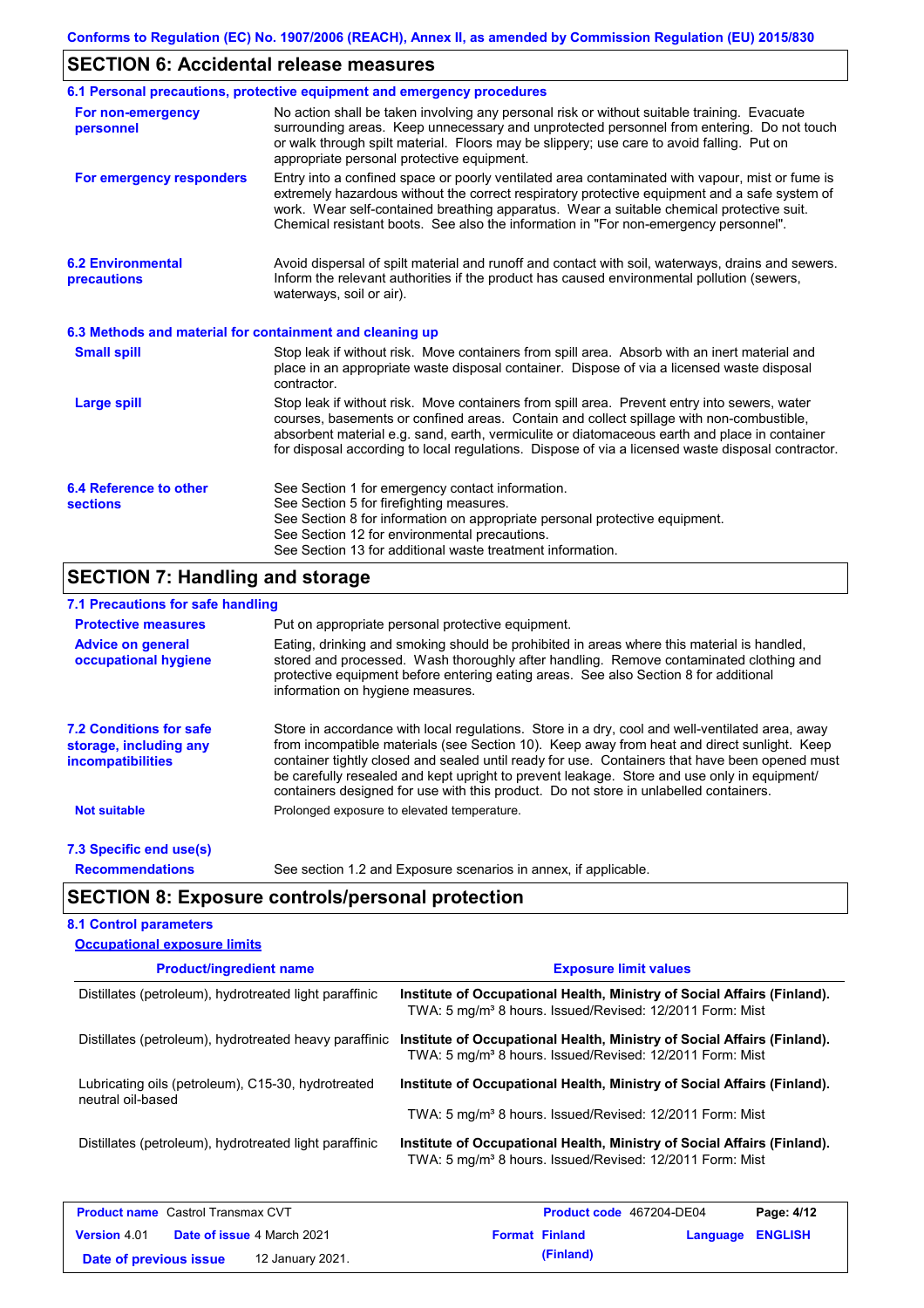# **SECTION 6: Accidental release measures**

|                                                          | 6.1 Personal precautions, protective equipment and emergency procedures                                                                                                                                                                                                                                                                                                                        |
|----------------------------------------------------------|------------------------------------------------------------------------------------------------------------------------------------------------------------------------------------------------------------------------------------------------------------------------------------------------------------------------------------------------------------------------------------------------|
| For non-emergency<br>personnel                           | No action shall be taken involving any personal risk or without suitable training. Evacuate<br>surrounding areas. Keep unnecessary and unprotected personnel from entering. Do not touch<br>or walk through spilt material. Floors may be slippery; use care to avoid falling. Put on<br>appropriate personal protective equipment.                                                            |
| For emergency responders                                 | Entry into a confined space or poorly ventilated area contaminated with vapour, mist or fume is<br>extremely hazardous without the correct respiratory protective equipment and a safe system of<br>work. Wear self-contained breathing apparatus. Wear a suitable chemical protective suit.<br>Chemical resistant boots. See also the information in "For non-emergency personnel".           |
| <b>6.2 Environmental</b><br>precautions                  | Avoid dispersal of spilt material and runoff and contact with soil, waterways, drains and sewers.<br>Inform the relevant authorities if the product has caused environmental pollution (sewers,<br>waterways, soil or air).                                                                                                                                                                    |
| 6.3 Methods and material for containment and cleaning up |                                                                                                                                                                                                                                                                                                                                                                                                |
| <b>Small spill</b>                                       | Stop leak if without risk. Move containers from spill area. Absorb with an inert material and<br>place in an appropriate waste disposal container. Dispose of via a licensed waste disposal<br>contractor.                                                                                                                                                                                     |
| <b>Large spill</b>                                       | Stop leak if without risk. Move containers from spill area. Prevent entry into sewers, water<br>courses, basements or confined areas. Contain and collect spillage with non-combustible,<br>absorbent material e.g. sand, earth, vermiculite or diatomaceous earth and place in container<br>for disposal according to local regulations. Dispose of via a licensed waste disposal contractor. |
| 6.4 Reference to other<br><b>sections</b>                | See Section 1 for emergency contact information.<br>See Section 5 for firefighting measures.<br>See Section 8 for information on appropriate personal protective equipment.<br>See Section 12 for environmental precautions.<br>See Section 13 for additional waste treatment information.                                                                                                     |

# **SECTION 7: Handling and storage**

## **7.1 Precautions for safe handling**

| <b>Protective measures</b>                                                           | Put on appropriate personal protective equipment.                                                                                                                                                                                                                                                                                                                                                                                                                                        |  |  |  |  |  |
|--------------------------------------------------------------------------------------|------------------------------------------------------------------------------------------------------------------------------------------------------------------------------------------------------------------------------------------------------------------------------------------------------------------------------------------------------------------------------------------------------------------------------------------------------------------------------------------|--|--|--|--|--|
| <b>Advice on general</b><br>occupational hygiene                                     | Eating, drinking and smoking should be prohibited in areas where this material is handled.<br>stored and processed. Wash thoroughly after handling. Remove contaminated clothing and<br>protective equipment before entering eating areas. See also Section 8 for additional<br>information on hygiene measures.                                                                                                                                                                         |  |  |  |  |  |
| <b>7.2 Conditions for safe</b><br>storage, including any<br><i>incompatibilities</i> | Store in accordance with local requiations. Store in a dry, cool and well-ventilated area, away<br>from incompatible materials (see Section 10). Keep away from heat and direct sunlight. Keep<br>container tightly closed and sealed until ready for use. Containers that have been opened must<br>be carefully resealed and kept upright to prevent leakage. Store and use only in equipment/<br>containers designed for use with this product. Do not store in unlabelled containers. |  |  |  |  |  |
| <b>Not suitable</b>                                                                  | Prolonged exposure to elevated temperature.                                                                                                                                                                                                                                                                                                                                                                                                                                              |  |  |  |  |  |
| 7.3 Specific end use(s)                                                              |                                                                                                                                                                                                                                                                                                                                                                                                                                                                                          |  |  |  |  |  |
| <b>Recommendations</b>                                                               | See section 1.2 and Exposure scenarios in annex, if applicable.                                                                                                                                                                                                                                                                                                                                                                                                                          |  |  |  |  |  |

# **SECTION 8: Exposure controls/personal protection**

**Date of previous issue (Finland)** 12 January 2021.

## **8.1 Control parameters**

| <b>Occupational exposure limits</b>                    |                                                                                                                                                 |
|--------------------------------------------------------|-------------------------------------------------------------------------------------------------------------------------------------------------|
| <b>Product/ingredient name</b>                         | <b>Exposure limit values</b>                                                                                                                    |
| Distillates (petroleum), hydrotreated light paraffinic | Institute of Occupational Health, Ministry of Social Affairs (Finland).<br>TWA: 5 mg/m <sup>3</sup> 8 hours. Issued/Revised: 12/2011 Form: Mist |
| Distillates (petroleum), hydrotreated heavy paraffinic | Institute of Occupational Health, Ministry of Social Affairs (Finland).<br>TWA: 5 mg/m <sup>3</sup> 8 hours. Issued/Revised: 12/2011 Form: Mist |
| Lubricating oils (petroleum), C15-30, hydrotreated     | Institute of Occupational Health, Ministry of Social Affairs (Finland).                                                                         |
| neutral oil-based                                      | TWA: 5 mg/m <sup>3</sup> 8 hours. Issued/Revised: 12/2011 Form: Mist                                                                            |
| Distillates (petroleum), hydrotreated light paraffinic | Institute of Occupational Health, Ministry of Social Affairs (Finland).<br>TWA: 5 mg/m <sup>3</sup> 8 hours. Issued/Revised: 12/2011 Form: Mist |
| <b>Product name</b> Castrol Transmax CVT               | Page: 4/12<br><b>Product code</b> 467204-DE04                                                                                                   |
| Date of issue 4 March 2021<br><b>Version 4.01</b>      | <b>Format Finland</b><br><b>ENGLISH</b><br>Language                                                                                             |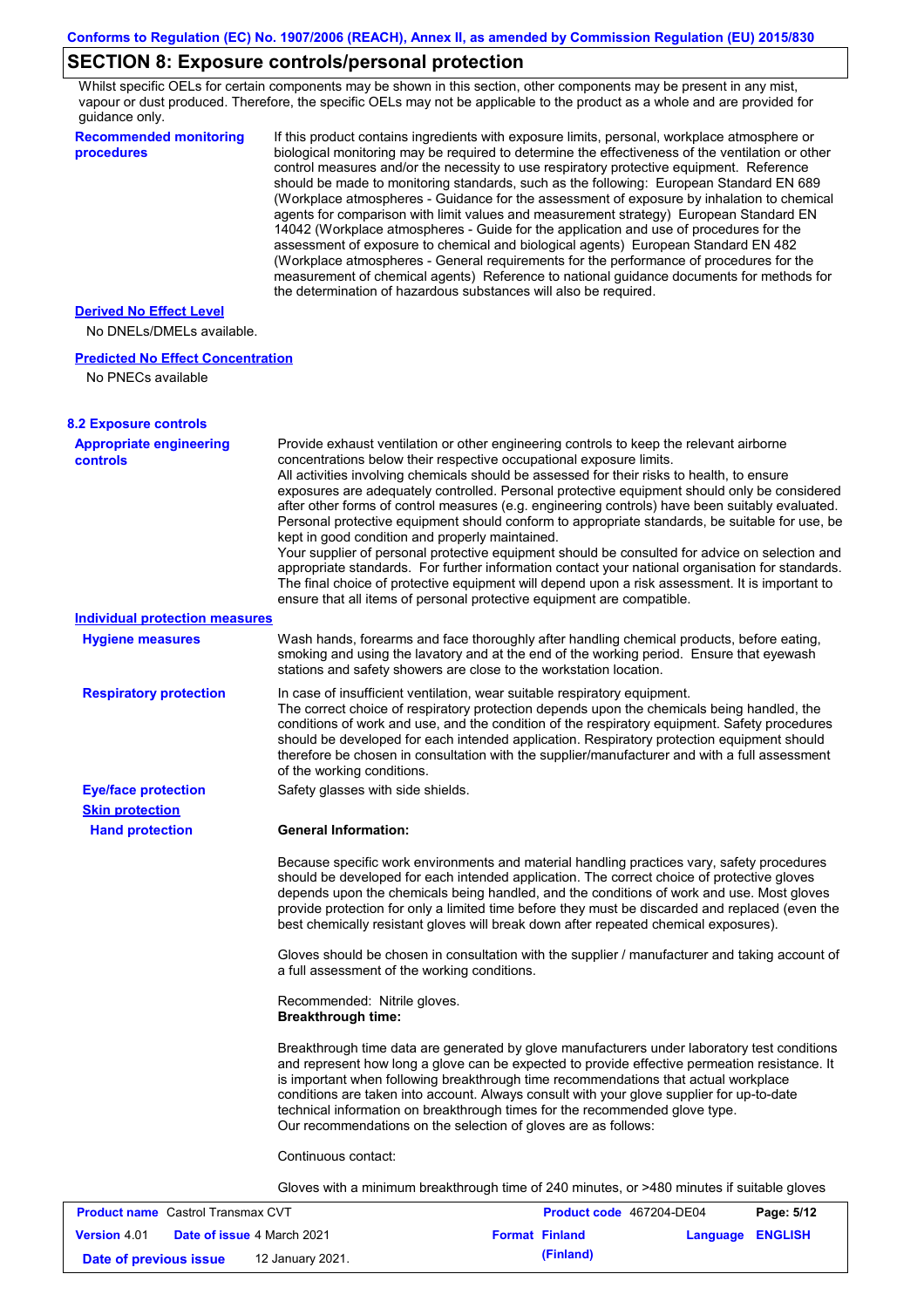# **SECTION 8: Exposure controls/personal protection**

Whilst specific OELs for certain components may be shown in this section, other components may be present in any mist, vapour or dust produced. Therefore, the specific OELs may not be applicable to the product as a whole and are provided for guidance only.

| <b>Recommended monitoring</b><br>procedures       | If this product contains ingredients with exposure limits, personal, workplace atmosphere or<br>biological monitoring may be required to determine the effectiveness of the ventilation or other<br>control measures and/or the necessity to use respiratory protective equipment. Reference<br>should be made to monitoring standards, such as the following: European Standard EN 689<br>(Workplace atmospheres - Guidance for the assessment of exposure by inhalation to chemical<br>agents for comparison with limit values and measurement strategy) European Standard EN<br>14042 (Workplace atmospheres - Guide for the application and use of procedures for the<br>assessment of exposure to chemical and biological agents) European Standard EN 482<br>(Workplace atmospheres - General requirements for the performance of procedures for the<br>measurement of chemical agents) Reference to national guidance documents for methods for<br>the determination of hazardous substances will also be required. |
|---------------------------------------------------|----------------------------------------------------------------------------------------------------------------------------------------------------------------------------------------------------------------------------------------------------------------------------------------------------------------------------------------------------------------------------------------------------------------------------------------------------------------------------------------------------------------------------------------------------------------------------------------------------------------------------------------------------------------------------------------------------------------------------------------------------------------------------------------------------------------------------------------------------------------------------------------------------------------------------------------------------------------------------------------------------------------------------|
| <b>Derived No Effect Level</b>                    |                                                                                                                                                                                                                                                                                                                                                                                                                                                                                                                                                                                                                                                                                                                                                                                                                                                                                                                                                                                                                            |
| No DNELs/DMELs available.                         |                                                                                                                                                                                                                                                                                                                                                                                                                                                                                                                                                                                                                                                                                                                                                                                                                                                                                                                                                                                                                            |
| <b>Predicted No Effect Concentration</b>          |                                                                                                                                                                                                                                                                                                                                                                                                                                                                                                                                                                                                                                                                                                                                                                                                                                                                                                                                                                                                                            |
| No PNECs available                                |                                                                                                                                                                                                                                                                                                                                                                                                                                                                                                                                                                                                                                                                                                                                                                                                                                                                                                                                                                                                                            |
| <b>8.2 Exposure controls</b>                      |                                                                                                                                                                                                                                                                                                                                                                                                                                                                                                                                                                                                                                                                                                                                                                                                                                                                                                                                                                                                                            |
| <b>Appropriate engineering</b><br><b>controls</b> | Provide exhaust ventilation or other engineering controls to keep the relevant airborne<br>concentrations below their respective occupational exposure limits.<br>All activities involving chemicals should be assessed for their risks to health, to ensure<br>exposures are adequately controlled. Personal protective equipment should only be considered<br>after other forms of control measures (e.g. engineering controls) have been suitably evaluated.<br>Personal protective equipment should conform to appropriate standards, be suitable for use, be<br>kept in good condition and properly maintained.<br>Your supplier of personal protective equipment should be consulted for advice on selection and<br>appropriate standards. For further information contact your national organisation for standards.<br>The final choice of protective equipment will depend upon a risk assessment. It is important to<br>ensure that all items of personal protective equipment are compatible.                    |
| <b>Individual protection measures</b>             |                                                                                                                                                                                                                                                                                                                                                                                                                                                                                                                                                                                                                                                                                                                                                                                                                                                                                                                                                                                                                            |
| <b>Hygiene measures</b>                           | Wash hands, forearms and face thoroughly after handling chemical products, before eating,<br>smoking and using the lavatory and at the end of the working period. Ensure that eyewash<br>stations and safety showers are close to the workstation location.                                                                                                                                                                                                                                                                                                                                                                                                                                                                                                                                                                                                                                                                                                                                                                |
| <b>Respiratory protection</b>                     | In case of insufficient ventilation, wear suitable respiratory equipment.<br>The correct choice of respiratory protection depends upon the chemicals being handled, the<br>conditions of work and use, and the condition of the respiratory equipment. Safety procedures<br>should be developed for each intended application. Respiratory protection equipment should<br>therefore be chosen in consultation with the supplier/manufacturer and with a full assessment<br>of the working conditions.                                                                                                                                                                                                                                                                                                                                                                                                                                                                                                                      |
| <b>Eye/face protection</b>                        | Safety glasses with side shields.                                                                                                                                                                                                                                                                                                                                                                                                                                                                                                                                                                                                                                                                                                                                                                                                                                                                                                                                                                                          |
| <b>Skin protection</b>                            |                                                                                                                                                                                                                                                                                                                                                                                                                                                                                                                                                                                                                                                                                                                                                                                                                                                                                                                                                                                                                            |
| <b>Hand protection</b>                            | <b>General Information:</b>                                                                                                                                                                                                                                                                                                                                                                                                                                                                                                                                                                                                                                                                                                                                                                                                                                                                                                                                                                                                |
|                                                   | Because specific work environments and material handling practices vary, safety procedures<br>should be developed for each intended application. The correct choice of protective gloves<br>depends upon the chemicals being handled, and the conditions of work and use. Most gloves<br>provide protection for only a limited time before they must be discarded and replaced (even the<br>best chemically resistant gloves will break down after repeated chemical exposures).                                                                                                                                                                                                                                                                                                                                                                                                                                                                                                                                           |
|                                                   | Gloves should be chosen in consultation with the supplier / manufacturer and taking account of<br>a full assessment of the working conditions.                                                                                                                                                                                                                                                                                                                                                                                                                                                                                                                                                                                                                                                                                                                                                                                                                                                                             |
|                                                   | Recommended: Nitrile gloves.<br><b>Breakthrough time:</b>                                                                                                                                                                                                                                                                                                                                                                                                                                                                                                                                                                                                                                                                                                                                                                                                                                                                                                                                                                  |
|                                                   | Breakthrough time data are generated by glove manufacturers under laboratory test conditions<br>and represent how long a glove can be expected to provide effective permeation resistance. It<br>is important when following breakthrough time recommendations that actual workplace<br>conditions are taken into account. Always consult with your glove supplier for up-to-date<br>technical information on breakthrough times for the recommended glove type.<br>Our recommendations on the selection of gloves are as follows:                                                                                                                                                                                                                                                                                                                                                                                                                                                                                         |
|                                                   | Continuous contact:                                                                                                                                                                                                                                                                                                                                                                                                                                                                                                                                                                                                                                                                                                                                                                                                                                                                                                                                                                                                        |
|                                                   | Gloves with a minimum breakthrough time of 240 minutes, or >480 minutes if suitable gloves                                                                                                                                                                                                                                                                                                                                                                                                                                                                                                                                                                                                                                                                                                                                                                                                                                                                                                                                 |
| <b>Product name</b> Castrol Transmay CVT          | Panc: 5/12<br><b>Product code</b> 467204-DE04                                                                                                                                                                                                                                                                                                                                                                                                                                                                                                                                                                                                                                                                                                                                                                                                                                                                                                                                                                              |

| <b>Product name</b> Castrol Transmax CVT |  |                                   | <b>Product code</b> 467204-DE04 | Page: 5/12       |  |
|------------------------------------------|--|-----------------------------------|---------------------------------|------------------|--|
| <b>Version 4.01</b>                      |  | <b>Date of issue 4 March 2021</b> | <b>Format Finland</b>           | Language ENGLISH |  |
| Date of previous issue                   |  | 12 January 2021.                  | (Finland)                       |                  |  |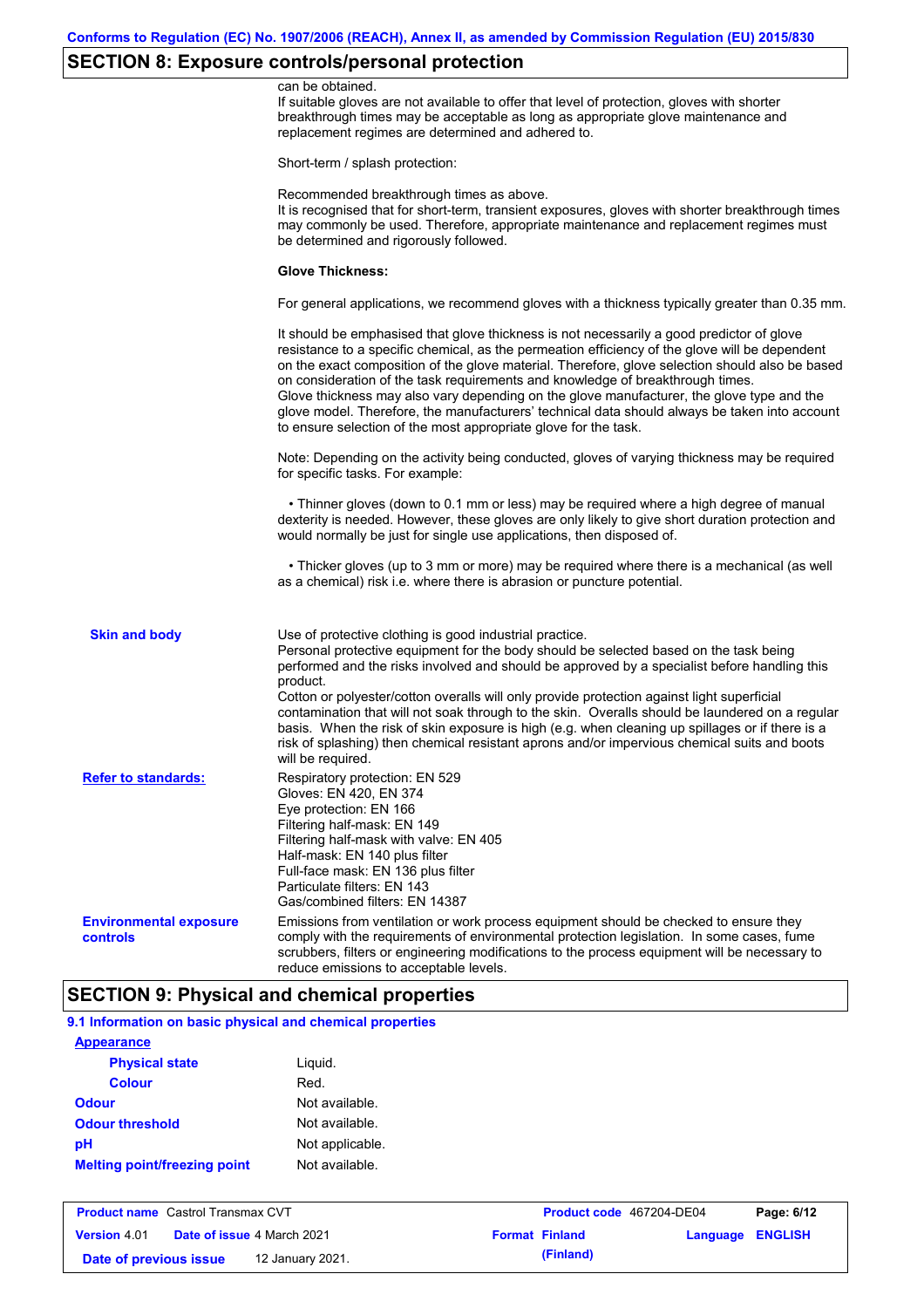# **SECTION 8: Exposure controls/personal protection**

|                                           | can be obtained.<br>If suitable gloves are not available to offer that level of protection, gloves with shorter<br>breakthrough times may be acceptable as long as appropriate glove maintenance and<br>replacement regimes are determined and adhered to.                                                                                                                                                                                                                                                                                                                                                                                                                            |
|-------------------------------------------|---------------------------------------------------------------------------------------------------------------------------------------------------------------------------------------------------------------------------------------------------------------------------------------------------------------------------------------------------------------------------------------------------------------------------------------------------------------------------------------------------------------------------------------------------------------------------------------------------------------------------------------------------------------------------------------|
|                                           | Short-term / splash protection:                                                                                                                                                                                                                                                                                                                                                                                                                                                                                                                                                                                                                                                       |
|                                           | Recommended breakthrough times as above.<br>It is recognised that for short-term, transient exposures, gloves with shorter breakthrough times<br>may commonly be used. Therefore, appropriate maintenance and replacement regimes must<br>be determined and rigorously followed.                                                                                                                                                                                                                                                                                                                                                                                                      |
|                                           | <b>Glove Thickness:</b>                                                                                                                                                                                                                                                                                                                                                                                                                                                                                                                                                                                                                                                               |
|                                           | For general applications, we recommend gloves with a thickness typically greater than 0.35 mm.                                                                                                                                                                                                                                                                                                                                                                                                                                                                                                                                                                                        |
|                                           | It should be emphasised that glove thickness is not necessarily a good predictor of glove<br>resistance to a specific chemical, as the permeation efficiency of the glove will be dependent<br>on the exact composition of the glove material. Therefore, glove selection should also be based<br>on consideration of the task requirements and knowledge of breakthrough times.<br>Glove thickness may also vary depending on the glove manufacturer, the glove type and the<br>glove model. Therefore, the manufacturers' technical data should always be taken into account<br>to ensure selection of the most appropriate glove for the task.                                     |
|                                           | Note: Depending on the activity being conducted, gloves of varying thickness may be required<br>for specific tasks. For example:                                                                                                                                                                                                                                                                                                                                                                                                                                                                                                                                                      |
|                                           | • Thinner gloves (down to 0.1 mm or less) may be required where a high degree of manual<br>dexterity is needed. However, these gloves are only likely to give short duration protection and<br>would normally be just for single use applications, then disposed of.                                                                                                                                                                                                                                                                                                                                                                                                                  |
|                                           | • Thicker gloves (up to 3 mm or more) may be required where there is a mechanical (as well<br>as a chemical) risk i.e. where there is abrasion or puncture potential.                                                                                                                                                                                                                                                                                                                                                                                                                                                                                                                 |
| <b>Skin and body</b>                      | Use of protective clothing is good industrial practice.<br>Personal protective equipment for the body should be selected based on the task being<br>performed and the risks involved and should be approved by a specialist before handling this<br>product.<br>Cotton or polyester/cotton overalls will only provide protection against light superficial<br>contamination that will not soak through to the skin. Overalls should be laundered on a regular<br>basis. When the risk of skin exposure is high (e.g. when cleaning up spillages or if there is a<br>risk of splashing) then chemical resistant aprons and/or impervious chemical suits and boots<br>will be required. |
| <b>Refer to standards:</b>                | Respiratory protection: EN 529<br>Gloves: EN 420, EN 374<br>Eye protection: EN 166<br>Filtering half-mask: EN 149<br>Filtering half-mask with valve: EN 405<br>Half-mask: EN 140 plus filter<br>Full-face mask: EN 136 plus filter<br>Particulate filters: EN 143<br>Gas/combined filters: EN 14387                                                                                                                                                                                                                                                                                                                                                                                   |
| <b>Environmental exposure</b><br>controls | Emissions from ventilation or work process equipment should be checked to ensure they<br>comply with the requirements of environmental protection legislation. In some cases, fume<br>scrubbers, filters or engineering modifications to the process equipment will be necessary to<br>reduce emissions to acceptable levels.                                                                                                                                                                                                                                                                                                                                                         |

# **SECTION 9: Physical and chemical properties**

| 9.1 Information on basic physical and chemical properties |                 |
|-----------------------------------------------------------|-----------------|
| <b>Appearance</b>                                         |                 |
| <b>Physical state</b>                                     | Liguid.         |
| <b>Colour</b>                                             | Red.            |
| <b>Odour</b>                                              | Not available.  |
| <b>Odour threshold</b>                                    | Not available.  |
| рH                                                        | Not applicable. |
| <b>Melting point/freezing point</b>                       | Not available.  |

| <b>Product name</b> Castrol Transmax CVT |  |                                   | <b>Product code</b> 467204-DE04 | Page: 6/12            |                         |  |
|------------------------------------------|--|-----------------------------------|---------------------------------|-----------------------|-------------------------|--|
| <b>Version 4.01</b>                      |  | <b>Date of issue 4 March 2021</b> |                                 | <b>Format Finland</b> | <b>Language ENGLISH</b> |  |
| Date of previous issue                   |  | 12 January 2021.                  |                                 | (Finland)             |                         |  |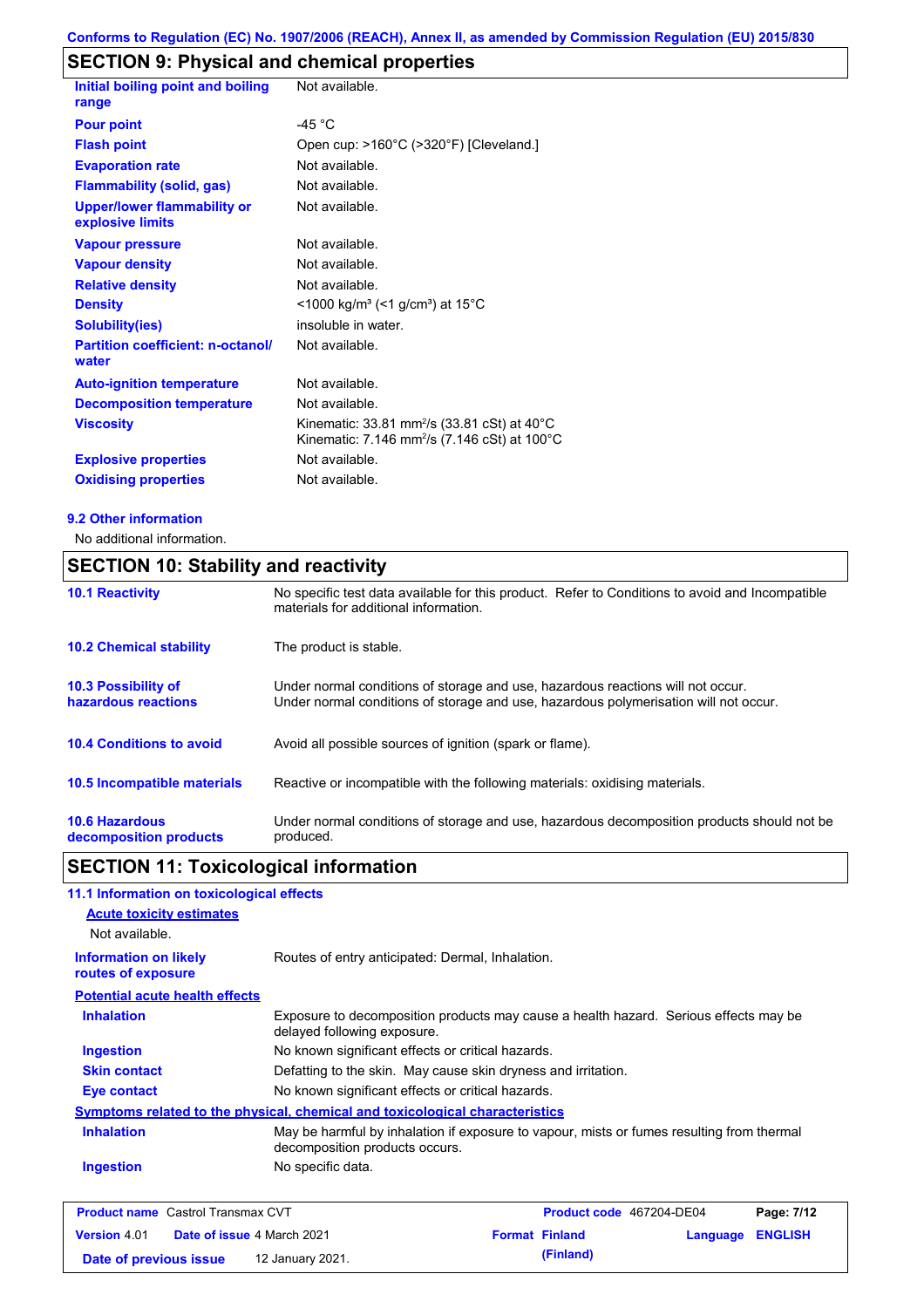# **SECTION 9: Physical and chemical properties**

| Initial boiling point and boiling                      | Not available.                                                                                                                           |
|--------------------------------------------------------|------------------------------------------------------------------------------------------------------------------------------------------|
| range                                                  |                                                                                                                                          |
| <b>Pour point</b>                                      | -45 $^{\circ}$ C                                                                                                                         |
| <b>Flash point</b>                                     | Open cup: >160°C (>320°F) [Cleveland.]                                                                                                   |
| <b>Evaporation rate</b>                                | Not available.                                                                                                                           |
| <b>Flammability (solid, gas)</b>                       | Not available.                                                                                                                           |
| <b>Upper/lower flammability or</b><br>explosive limits | Not available.                                                                                                                           |
| <b>Vapour pressure</b>                                 | Not available.                                                                                                                           |
| <b>Vapour density</b>                                  | Not available.                                                                                                                           |
| <b>Relative density</b>                                | Not available.                                                                                                                           |
| <b>Density</b>                                         | <1000 kg/m <sup>3</sup> (<1 g/cm <sup>3</sup> ) at 15°C                                                                                  |
| <b>Solubility(ies)</b>                                 | insoluble in water.                                                                                                                      |
| <b>Partition coefficient: n-octanol/</b><br>water      | Not available.                                                                                                                           |
| <b>Auto-ignition temperature</b>                       | Not available.                                                                                                                           |
| <b>Decomposition temperature</b>                       | Not available.                                                                                                                           |
| <b>Viscosity</b>                                       | Kinematic: 33.81 mm <sup>2</sup> /s (33.81 cSt) at $40^{\circ}$ C<br>Kinematic: 7.146 mm <sup>2</sup> /s (7.146 cSt) at 100 $^{\circ}$ C |
| <b>Explosive properties</b>                            | Not available.                                                                                                                           |
| <b>Oxidising properties</b>                            | Not available.                                                                                                                           |

### **9.2 Other information**

No additional information.

# **SECTION 10: Stability and reactivity**

| <b>10.1 Reactivity</b>                            | No specific test data available for this product. Refer to Conditions to avoid and Incompatible<br>materials for additional information.                                |  |  |
|---------------------------------------------------|-------------------------------------------------------------------------------------------------------------------------------------------------------------------------|--|--|
| <b>10.2 Chemical stability</b>                    | The product is stable.                                                                                                                                                  |  |  |
| <b>10.3 Possibility of</b><br>hazardous reactions | Under normal conditions of storage and use, hazardous reactions will not occur.<br>Under normal conditions of storage and use, hazardous polymerisation will not occur. |  |  |
| <b>10.4 Conditions to avoid</b>                   | Avoid all possible sources of ignition (spark or flame).                                                                                                                |  |  |
| <b>10.5 Incompatible materials</b>                | Reactive or incompatible with the following materials: oxidising materials.                                                                                             |  |  |
| <b>10.6 Hazardous</b><br>decomposition products   | Under normal conditions of storage and use, hazardous decomposition products should not be<br>produced.                                                                 |  |  |

# **SECTION 11: Toxicological information**

| 11.1 Information on toxicological effects          |                                                                                                                             |
|----------------------------------------------------|-----------------------------------------------------------------------------------------------------------------------------|
| <b>Acute toxicity estimates</b>                    |                                                                                                                             |
| Not available.                                     |                                                                                                                             |
| <b>Information on likely</b><br>routes of exposure | Routes of entry anticipated: Dermal, Inhalation.                                                                            |
| <b>Potential acute health effects</b>              |                                                                                                                             |
| <b>Inhalation</b>                                  | Exposure to decomposition products may cause a health hazard. Serious effects may be<br>delayed following exposure.         |
| <b>Ingestion</b>                                   | No known significant effects or critical hazards.                                                                           |
| <b>Skin contact</b>                                | Defatting to the skin. May cause skin dryness and irritation.                                                               |
| <b>Eye contact</b>                                 | No known significant effects or critical hazards.                                                                           |
|                                                    | Symptoms related to the physical, chemical and toxicological characteristics                                                |
| <b>Inhalation</b>                                  | May be harmful by inhalation if exposure to vapour, mists or fumes resulting from thermal<br>decomposition products occurs. |
| <b>Ingestion</b>                                   | No specific data.                                                                                                           |
|                                                    |                                                                                                                             |

| <b>Product name</b> Castrol Transmax CVT |  | <b>Product code</b> 467204-DE04   |  | Page: 7/12            |                         |  |
|------------------------------------------|--|-----------------------------------|--|-----------------------|-------------------------|--|
| <b>Version</b> 4.01                      |  | <b>Date of issue 4 March 2021</b> |  | <b>Format Finland</b> | <b>Language ENGLISH</b> |  |
| Date of previous issue                   |  | 12 January 2021.                  |  | (Finland)             |                         |  |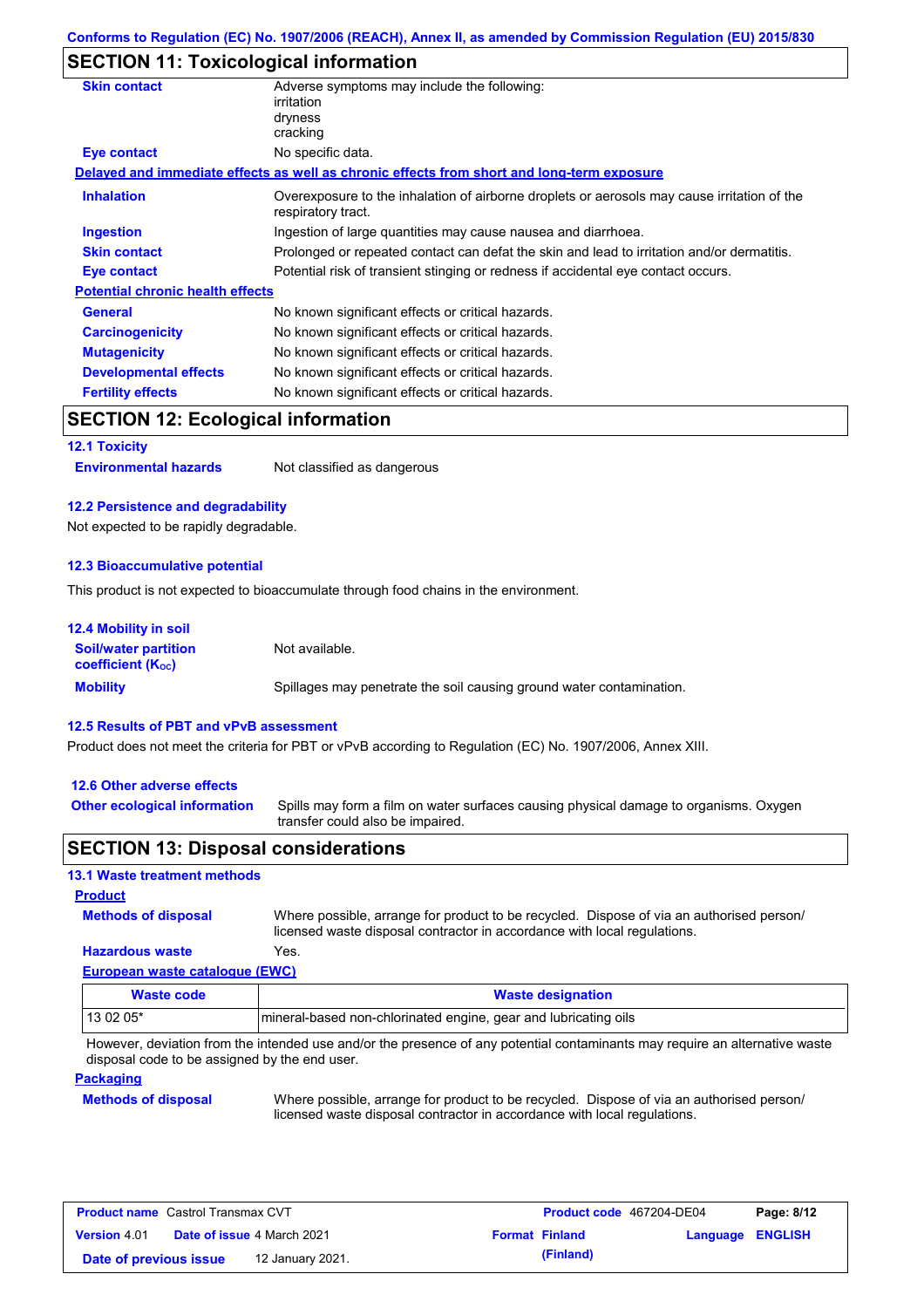### **SECTION 11: Toxicological information**

| <b>Skin contact</b>                     | Adverse symptoms may include the following:<br>irritation<br>dryness<br>cracking                                  |  |  |
|-----------------------------------------|-------------------------------------------------------------------------------------------------------------------|--|--|
| <b>Eye contact</b>                      | No specific data.                                                                                                 |  |  |
|                                         | Delayed and immediate effects as well as chronic effects from short and long-term exposure                        |  |  |
| <b>Inhalation</b>                       | Overexposure to the inhalation of airborne droplets or aerosols may cause irritation of the<br>respiratory tract. |  |  |
| <b>Ingestion</b>                        | Ingestion of large quantities may cause nausea and diarrhoea.                                                     |  |  |
| <b>Skin contact</b>                     | Prolonged or repeated contact can defat the skin and lead to irritation and/or dermatitis.                        |  |  |
| Eye contact                             | Potential risk of transient stinging or redness if accidental eye contact occurs.                                 |  |  |
| <b>Potential chronic health effects</b> |                                                                                                                   |  |  |
| <b>General</b>                          | No known significant effects or critical hazards.                                                                 |  |  |
| <b>Carcinogenicity</b>                  | No known significant effects or critical hazards.                                                                 |  |  |
| <b>Mutagenicity</b>                     | No known significant effects or critical hazards.                                                                 |  |  |
| <b>Developmental effects</b>            | No known significant effects or critical hazards.                                                                 |  |  |
| <b>Fertility effects</b>                | No known significant effects or critical hazards.                                                                 |  |  |
|                                         |                                                                                                                   |  |  |

### **SECTION 12: Ecological information**

**12.1 Toxicity**

**Environmental hazards** Not classified as dangerous

### **12.2 Persistence and degradability**

Not expected to be rapidly degradable.

### **12.3 Bioaccumulative potential**

This product is not expected to bioaccumulate through food chains in the environment.

| <b>12.4 Mobility in soil</b>                            |                                                                      |
|---------------------------------------------------------|----------------------------------------------------------------------|
| <b>Soil/water partition</b><br><b>coefficient (Koc)</b> | Not available.                                                       |
| <b>Mobility</b>                                         | Spillages may penetrate the soil causing ground water contamination. |

#### **12.5 Results of PBT and vPvB assessment**

Product does not meet the criteria for PBT or vPvB according to Regulation (EC) No. 1907/2006, Annex XIII.

#### **12.6 Other adverse effects**

**Other ecological information**

Spills may form a film on water surfaces causing physical damage to organisms. Oxygen transfer could also be impaired.

### **SECTION 13: Disposal considerations**

### **13.1 Waste treatment methods**

**Methods of disposal Product**

Where possible, arrange for product to be recycled. Dispose of via an authorised person/ licensed waste disposal contractor in accordance with local regulations.

**European waste catalogue (EWC) Hazardous waste** Yes.

| Waste code | <b>Waste designation</b>                                        |
|------------|-----------------------------------------------------------------|
| 13 02 05*  | mineral-based non-chlorinated engine, gear and lubricating oils |

However, deviation from the intended use and/or the presence of any potential contaminants may require an alternative waste disposal code to be assigned by the end user.

#### **Packaging**

### **Methods of disposal**

Where possible, arrange for product to be recycled. Dispose of via an authorised person/ licensed waste disposal contractor in accordance with local regulations.

| <b>Product name</b> Castrol Transmax CVT |                                   |                  | Product code 467204-DE04 | Page: 8/12            |                         |  |
|------------------------------------------|-----------------------------------|------------------|--------------------------|-----------------------|-------------------------|--|
| <b>Version 4.01</b>                      | <b>Date of issue 4 March 2021</b> |                  |                          | <b>Format Finland</b> | <b>Language ENGLISH</b> |  |
| Date of previous issue                   |                                   | 12 January 2021. |                          | (Finland)             |                         |  |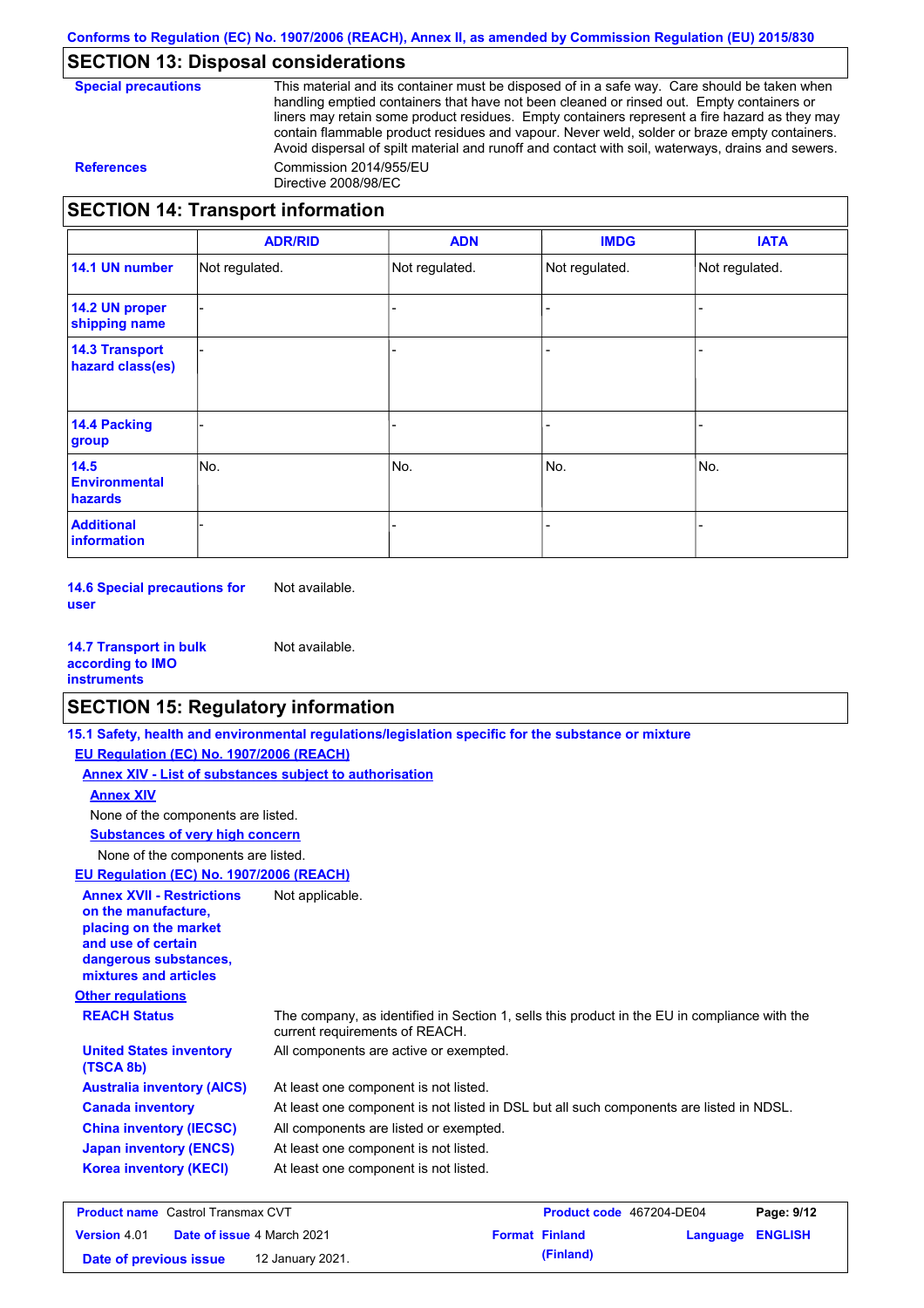# **SECTION 13: Disposal considerations**

**Special precautions** This material and its container must be disposed of in a safe way. Care should be taken when handling emptied containers that have not been cleaned or rinsed out. Empty containers or liners may retain some product residues. Empty containers represent a fire hazard as they may contain flammable product residues and vapour. Never weld, solder or braze empty containers. Avoid dispersal of spilt material and runoff and contact with soil, waterways, drains and sewers. **References** Commission 2014/955/EU Directive 2008/98/EC

### **SECTION 14: Transport information**

|                                                | <b>ADR/RID</b> | <b>ADN</b>     | <b>IMDG</b>    | <b>IATA</b>    |
|------------------------------------------------|----------------|----------------|----------------|----------------|
| 14.1 UN number                                 | Not regulated. | Not regulated. | Not regulated. | Not regulated. |
| 14.2 UN proper<br>shipping name                |                |                |                |                |
| <b>14.3 Transport</b><br>hazard class(es)      |                |                |                |                |
| <b>14.4 Packing</b><br>group                   |                |                |                |                |
| 14.5<br><b>Environmental</b><br><b>hazards</b> | No.            | No.            | No.            | No.            |
| <b>Additional</b><br>information               |                |                |                |                |

**14.6 Special precautions for user** Not available.

**14.7 Transport in bulk according to IMO instruments** Not available.

## **SECTION 15: Regulatory information**

|                                                                                                                                                          | 15.1 Safety, health and environmental regulations/legislation specific for the substance or mixture                            |                                 |               |
|----------------------------------------------------------------------------------------------------------------------------------------------------------|--------------------------------------------------------------------------------------------------------------------------------|---------------------------------|---------------|
| EU Regulation (EC) No. 1907/2006 (REACH)                                                                                                                 |                                                                                                                                |                                 |               |
| Annex XIV - List of substances subject to authorisation                                                                                                  |                                                                                                                                |                                 |               |
| <b>Annex XIV</b>                                                                                                                                         |                                                                                                                                |                                 |               |
| None of the components are listed.                                                                                                                       |                                                                                                                                |                                 |               |
| <b>Substances of very high concern</b>                                                                                                                   |                                                                                                                                |                                 |               |
| None of the components are listed.                                                                                                                       |                                                                                                                                |                                 |               |
| EU Regulation (EC) No. 1907/2006 (REACH)                                                                                                                 |                                                                                                                                |                                 |               |
| <b>Annex XVII - Restrictions</b><br>on the manufacture.<br>placing on the market<br>and use of certain<br>dangerous substances,<br>mixtures and articles | Not applicable.                                                                                                                |                                 |               |
| <b>Other regulations</b>                                                                                                                                 |                                                                                                                                |                                 |               |
| <b>REACH Status</b>                                                                                                                                      | The company, as identified in Section 1, sells this product in the EU in compliance with the<br>current requirements of REACH. |                                 |               |
| <b>United States inventory</b><br>(TSCA 8b)                                                                                                              | All components are active or exempted.                                                                                         |                                 |               |
| <b>Australia inventory (AICS)</b>                                                                                                                        | At least one component is not listed.                                                                                          |                                 |               |
| <b>Canada inventory</b>                                                                                                                                  | At least one component is not listed in DSL but all such components are listed in NDSL.                                        |                                 |               |
| <b>China inventory (IECSC)</b>                                                                                                                           | All components are listed or exempted.                                                                                         |                                 |               |
| <b>Japan inventory (ENCS)</b>                                                                                                                            | At least one component is not listed.                                                                                          |                                 |               |
| <b>Korea inventory (KECI)</b>                                                                                                                            | At least one component is not listed.                                                                                          |                                 |               |
| <b>Product name</b> Castrol Transmay CVT                                                                                                                 |                                                                                                                                | <b>Product code 467204-DE04</b> | $P$ ano: 9/12 |

| <b>Product name</b> Castrol Transmax CVT                 |  |                  | Product code 467204-DE04 |                         | Page: 9/12 |  |
|----------------------------------------------------------|--|------------------|--------------------------|-------------------------|------------|--|
| <b>Date of issue 4 March 2021</b><br><b>Version</b> 4.01 |  |                  | <b>Format Finland</b>    | <b>Language ENGLISH</b> |            |  |
| Date of previous issue                                   |  | 12 January 2021. |                          | (Finland)               |            |  |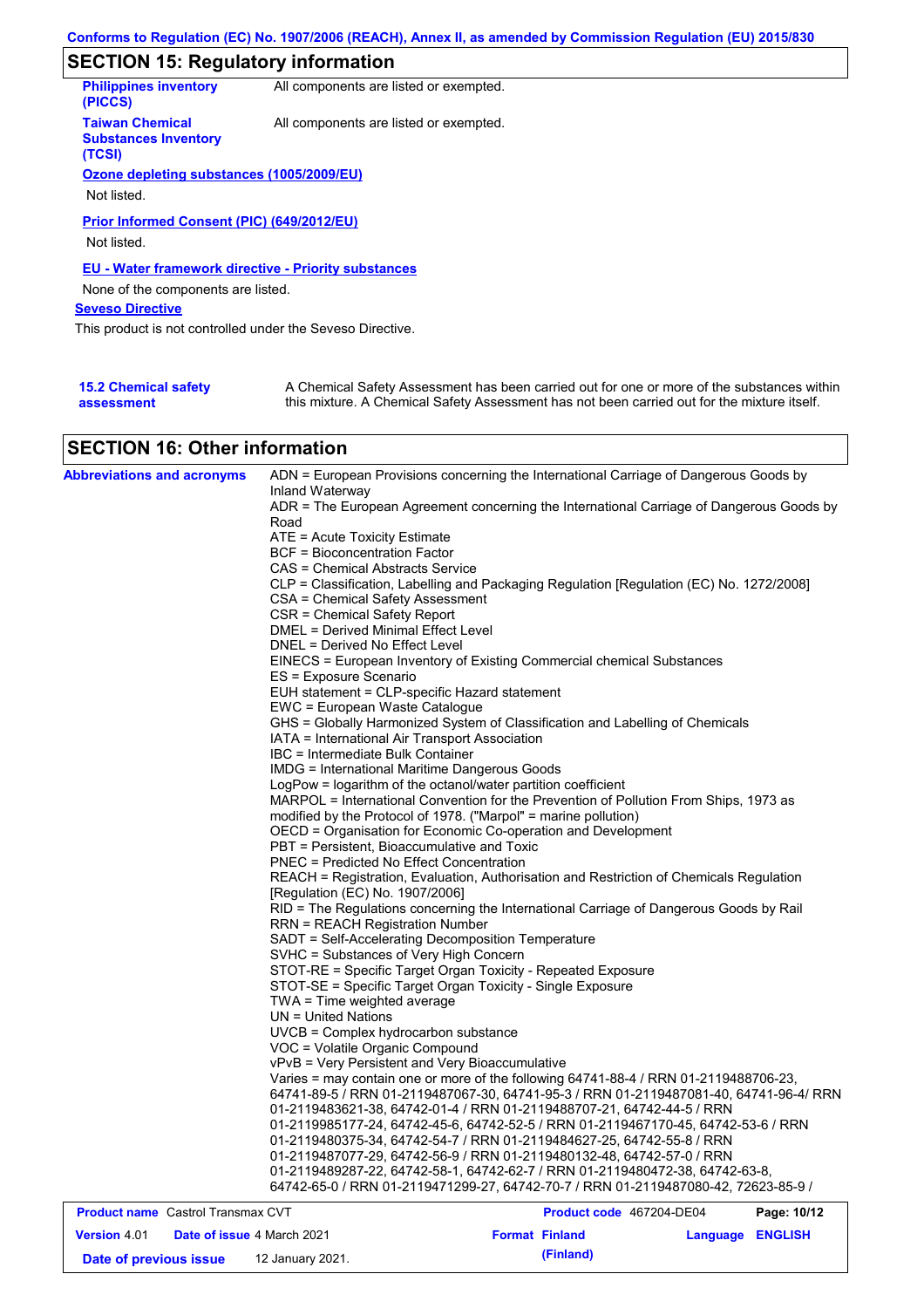# **SECTION 15: Regulatory information**

| <b>Philippines inventory</b><br>(PICCS)                         | All components are listed or exempted. |
|-----------------------------------------------------------------|----------------------------------------|
| <b>Taiwan Chemical</b><br><b>Substances Inventory</b><br>(TCSI) | All components are listed or exempted. |
| Ozone depleting substances (1005/2009/EU)                       |                                        |
|                                                                 |                                        |
| Not listed.                                                     |                                        |
| Prior Informed Consent (PIC) (649/2012/EU)<br>Not listed.       |                                        |
| <b>EU - Water framework directive - Priority substances</b>     |                                        |
| None of the components are listed.                              |                                        |
| <b>Seveso Directive</b>                                         |                                        |
| This product is not controlled under the Seveso Directive.      |                                        |
|                                                                 |                                        |
|                                                                 |                                        |

| <b>15.2 Chemical safety</b> | A Chemical Safety Assessment has been carried out for one or more of the substances within  |
|-----------------------------|---------------------------------------------------------------------------------------------|
| assessment                  | this mixture. A Chemical Safety Assessment has not been carried out for the mixture itself. |

# **SECTION 16: Other information**

| <b>Abbreviations and acronyms</b>        | ADN = European Provisions concerning the International Carriage of Dangerous Goods by<br>Inland Waterway                                                           |
|------------------------------------------|--------------------------------------------------------------------------------------------------------------------------------------------------------------------|
|                                          | ADR = The European Agreement concerning the International Carriage of Dangerous Goods by                                                                           |
|                                          | Road                                                                                                                                                               |
|                                          | ATE = Acute Toxicity Estimate                                                                                                                                      |
|                                          | <b>BCF</b> = Bioconcentration Factor                                                                                                                               |
|                                          | CAS = Chemical Abstracts Service                                                                                                                                   |
|                                          | CLP = Classification, Labelling and Packaging Regulation [Regulation (EC) No. 1272/2008]<br>CSA = Chemical Safety Assessment                                       |
|                                          | CSR = Chemical Safety Report                                                                                                                                       |
|                                          | <b>DMEL = Derived Minimal Effect Level</b>                                                                                                                         |
|                                          | DNEL = Derived No Effect Level                                                                                                                                     |
|                                          | EINECS = European Inventory of Existing Commercial chemical Substances                                                                                             |
|                                          | ES = Exposure Scenario                                                                                                                                             |
|                                          | EUH statement = CLP-specific Hazard statement                                                                                                                      |
|                                          | EWC = European Waste Catalogue                                                                                                                                     |
|                                          | GHS = Globally Harmonized System of Classification and Labelling of Chemicals                                                                                      |
|                                          | IATA = International Air Transport Association                                                                                                                     |
|                                          | IBC = Intermediate Bulk Container                                                                                                                                  |
|                                          | <b>IMDG = International Maritime Dangerous Goods</b>                                                                                                               |
|                                          | LogPow = logarithm of the octanol/water partition coefficient                                                                                                      |
|                                          | MARPOL = International Convention for the Prevention of Pollution From Ships, 1973 as                                                                              |
|                                          | modified by the Protocol of 1978. ("Marpol" = marine pollution)                                                                                                    |
|                                          | OECD = Organisation for Economic Co-operation and Development                                                                                                      |
|                                          | PBT = Persistent, Bioaccumulative and Toxic                                                                                                                        |
|                                          | <b>PNEC = Predicted No Effect Concentration</b>                                                                                                                    |
|                                          | REACH = Registration, Evaluation, Authorisation and Restriction of Chemicals Regulation                                                                            |
|                                          | [Regulation (EC) No. 1907/2006]                                                                                                                                    |
|                                          | RID = The Regulations concerning the International Carriage of Dangerous Goods by Rail                                                                             |
|                                          | <b>RRN = REACH Registration Number</b>                                                                                                                             |
|                                          | SADT = Self-Accelerating Decomposition Temperature                                                                                                                 |
|                                          | SVHC = Substances of Very High Concern                                                                                                                             |
|                                          | STOT-RE = Specific Target Organ Toxicity - Repeated Exposure                                                                                                       |
|                                          | STOT-SE = Specific Target Organ Toxicity - Single Exposure                                                                                                         |
|                                          | TWA = Time weighted average                                                                                                                                        |
|                                          | $UN = United Nations$                                                                                                                                              |
|                                          | UVCB = Complex hydrocarbon substance                                                                                                                               |
|                                          | VOC = Volatile Organic Compound                                                                                                                                    |
|                                          | vPvB = Very Persistent and Very Bioaccumulative                                                                                                                    |
|                                          | Varies = may contain one or more of the following 64741-88-4 / RRN 01-2119488706-23,                                                                               |
|                                          | 64741-89-5 / RRN 01-2119487067-30, 64741-95-3 / RRN 01-2119487081-40, 64741-96-4/ RRN                                                                              |
|                                          | 01-2119483621-38, 64742-01-4 / RRN 01-2119488707-21, 64742-44-5 / RRN                                                                                              |
|                                          | 01-2119985177-24, 64742-45-6, 64742-52-5 / RRN 01-2119467170-45, 64742-53-6 / RRN                                                                                  |
|                                          | 01-2119480375-34, 64742-54-7 / RRN 01-2119484627-25, 64742-55-8 / RRN                                                                                              |
|                                          | 01-2119487077-29, 64742-56-9 / RRN 01-2119480132-48, 64742-57-0 / RRN                                                                                              |
|                                          | 01-2119489287-22, 64742-58-1, 64742-62-7 / RRN 01-2119480472-38, 64742-63-8,<br>64742-65-0 / RRN 01-2119471299-27, 64742-70-7 / RRN 01-2119487080-42, 72623-85-9 / |
| <b>Product name</b> Castrol Transmax CVT | Product code 467204-DE04<br>Page: 10/12                                                                                                                            |

| <b>Product name</b> Castrol Transmax CVT |  |                                   |  | <b>Product code</b> 46/204-DE04 | Page: 10/12      |  |
|------------------------------------------|--|-----------------------------------|--|---------------------------------|------------------|--|
| <b>Version 4.01</b>                      |  | <b>Date of issue 4 March 2021</b> |  | <b>Format Finland</b>           | Language ENGLISH |  |
| Date of previous issue                   |  | 12 January 2021.                  |  | (Finland)                       |                  |  |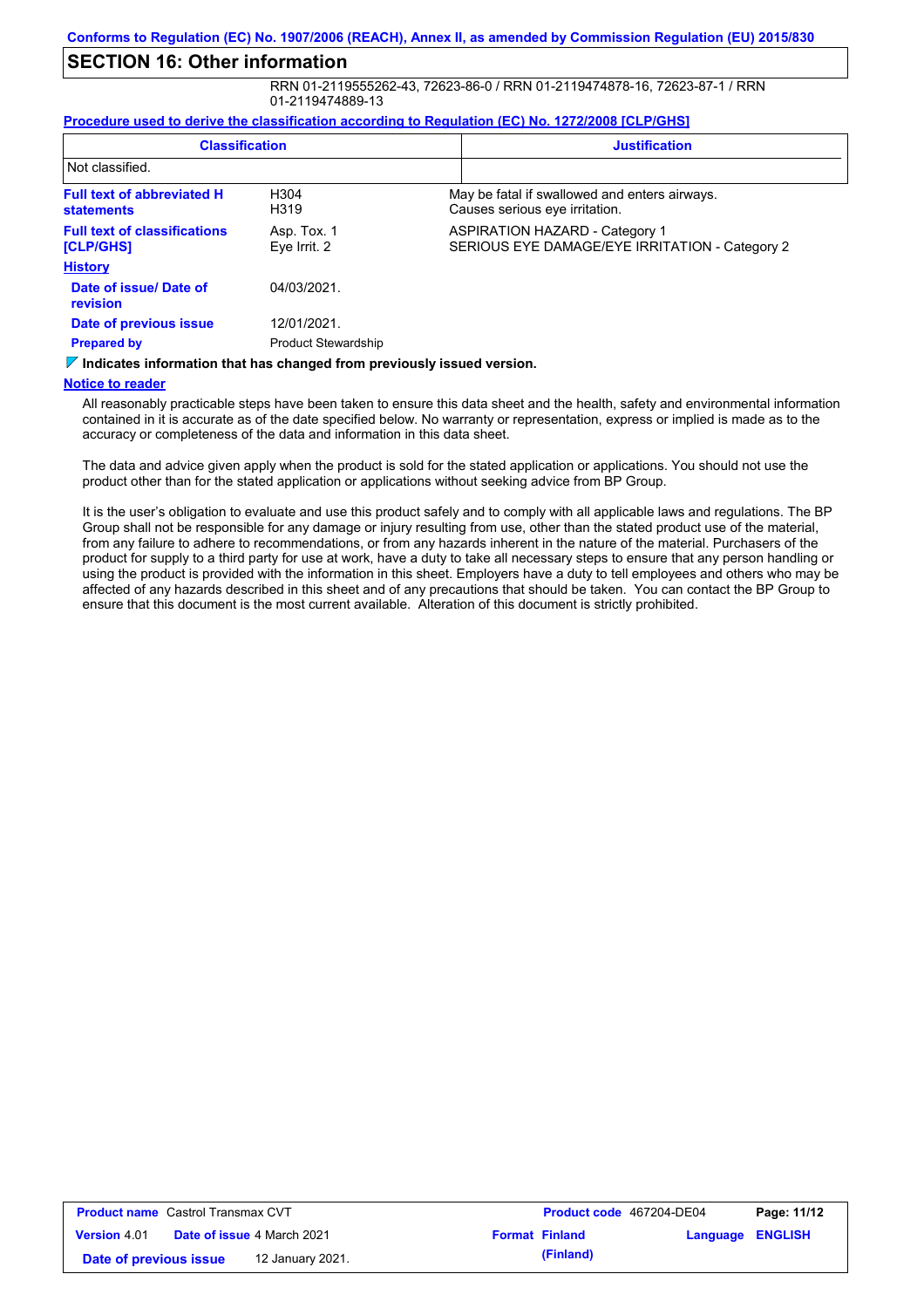# **SECTION 16: Other information**

RRN 01-2119555262-43, 72623-86-0 / RRN 01-2119474878-16, 72623-87-1 / RRN 01-2119474889-13

#### **Procedure used to derive the classification according to Regulation (EC) No. 1272/2008 [CLP/GHS]**

| <b>Classification</b>                                                       |                             | <b>Justification</b> |                                                                                         |
|-----------------------------------------------------------------------------|-----------------------------|----------------------|-----------------------------------------------------------------------------------------|
| Not classified.                                                             |                             |                      |                                                                                         |
| <b>Full text of abbreviated H</b><br><b>statements</b>                      | H <sub>304</sub><br>H319    |                      | May be fatal if swallowed and enters airways.<br>Causes serious eye irritation.         |
| <b>Full text of classifications</b><br>[CLP/GHS]                            | Asp. Tox. 1<br>Eye Irrit. 2 |                      | <b>ASPIRATION HAZARD - Category 1</b><br>SERIOUS EYE DAMAGE/EYE IRRITATION - Category 2 |
| <b>History</b>                                                              |                             |                      |                                                                                         |
| Date of issue/Date of<br>revision                                           | 04/03/2021.                 |                      |                                                                                         |
| Date of previous issue                                                      | 12/01/2021.                 |                      |                                                                                         |
| <b>Prepared by</b>                                                          | <b>Product Stewardship</b>  |                      |                                                                                         |
| Viladianten lafamanten tien han eisenen difuen annibereitetelt familien der |                             |                      |                                                                                         |

**Indicates information that has changed from previously issued version.**

#### **Notice to reader**

All reasonably practicable steps have been taken to ensure this data sheet and the health, safety and environmental information contained in it is accurate as of the date specified below. No warranty or representation, express or implied is made as to the accuracy or completeness of the data and information in this data sheet.

The data and advice given apply when the product is sold for the stated application or applications. You should not use the product other than for the stated application or applications without seeking advice from BP Group.

It is the user's obligation to evaluate and use this product safely and to comply with all applicable laws and regulations. The BP Group shall not be responsible for any damage or injury resulting from use, other than the stated product use of the material, from any failure to adhere to recommendations, or from any hazards inherent in the nature of the material. Purchasers of the product for supply to a third party for use at work, have a duty to take all necessary steps to ensure that any person handling or using the product is provided with the information in this sheet. Employers have a duty to tell employees and others who may be affected of any hazards described in this sheet and of any precautions that should be taken. You can contact the BP Group to ensure that this document is the most current available. Alteration of this document is strictly prohibited.

| <b>Product name</b> Castrol Transmax CVT |                                   |                  |  | <b>Product code</b> 467204-DE04 | Page: 11/12             |  |
|------------------------------------------|-----------------------------------|------------------|--|---------------------------------|-------------------------|--|
| <b>Version 4.01</b>                      | <b>Date of issue 4 March 2021</b> |                  |  | <b>Format Finland</b>           | <b>Language ENGLISH</b> |  |
| Date of previous issue                   |                                   | 12 January 2021. |  | (Finland)                       |                         |  |